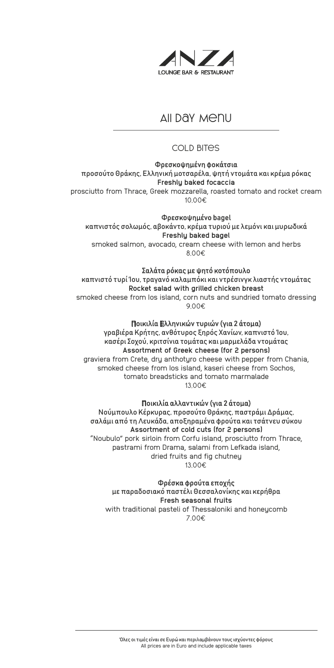

# AII DAY Menu

# Cold bites

## Φρεσκοψημένη φοκάτσια

προσούτο Θράκης, Ελληνική μοτσαρέλα, ψητή ντομάτα και κρέμα ρόκας **Freshly baked focaccia**

prosciutto from Thrace, Greek mozzarella, roasted tomato and rocket cream 10,00€

#### Φρεσκοψημένo bagel

καπνιστός σολωμός, αβοκάντο, κρέμα τυριού με λεμόνι και μυρωδικά **Freshly baked bagel** smoked salmon, avocado, cream cheese with lemon and herbs 8,00€

## Σαλάτα ρόκας με ψητό κοτόπουλο

καπνιστό τυρί Ίου, τραγανό καλαμπόκι και ντρέσινγκ λιαστής ντομάτας **Rocket salad with grilled chicken breast** smoked cheese from Ios island, corn nuts and sundried tomato dressing 9,00€

## Ποικιλία Ελληνικών τυριών (για 2 άτομα)

γραβιέρα Κρήτης, ανθότυρος ξηρός Χανίων, καπνιστό Ίου, κασέρι Σοχού, κριτσίνια τομάτας και μαρμελάδα ντομάτας **Assortment of Greek cheese (for 2 persons)** graviera from Crete, dry anthotyro cheese with pepper from Chania, smoked cheese from Ios island, kaseri cheese from Sochos, tomato breadsticks and tomato marmalade 13,00€

## Ποικιλία αλλαντικών (για 2 άτομα)

Νούμπουλο Κέρκυρας, προσούτο Θράκης, παστράμι Δράμας, σαλάμι από τη Λευκάδα, αποξηραμένα φρούτα και τσάτνευ σύκου **Assortment of cold cuts (for 2 persons)** "Noubulo" pork sirloin from Corfu island, prosciutto from Thrace, pastrami from Drama, salami from Lefkada island, dried fruits and fig chutney 13,00€

#### Φρέσκα φρούτα εποχής

με παραδοσιακό παστέλι Θεσσαλονίκης και κερήθρα **Fresh seasonal fruits**  with traditional pasteli of Thessaloniki and honeycomb 7,00€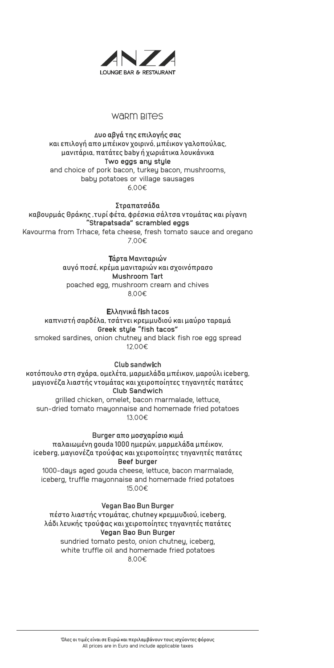

## WARM **BITES**

# Δυο αβγά της επιλογής σας

και επιλογή απο μπέικον χοιρινό, μπέικον γαλοπούλας, μανιτάρια, πατάτες baby ή χωριάτικα λουκάνικα **Two eggs any style** and choice of pork bacon, turkey bacon, mushrooms, baby potatoes or village sausages 6,00€

#### Στραπατσάδα

καβουρμάς Θράκης ,τυρί φέτα, φρέσκια σάλτσα ντομάτας και ρίγανη **"Strapatsada" scrambled eggs** Kavourma from Trhace, feta cheese, fresh tomato sauce and oregano

7,00€

#### Τάρτα Mανιταριών

αυγό ποσέ, κρέμα μανιταριών και σχοινόπρασο **Mushroom Tart** poached egg, mushroom cream and chives 8,00€

#### Ελληνικά fish tacos

καπνιστή σαρδέλα, τσάτνει κρεμμυδιού και μαύρο ταραμά **Greek style "fish tacos"** smoked sardines, onion chutney and black fish roe egg spread 12,00€

#### Club sandwich

κοτόπουλο στη σχάρα, ομελέτα, μαρμελάδα μπέικον, μαρούλι iceberg, μαγιονέζα λιαστής ντομάτας και χειροποίητες τηγανητές πατάτες **Club Sandwich** grilled chicken, omelet, bacon marmalade, lettuce, sun-dried tomato mayonnaise and homemade fried potatoes

13,00€

Burger απο μοσχαρίσιο κιμά

παλαιωμένη gouda 1000 ημερών, μαρμελάδα μπέικον, iceberg, μαγιονέζα τρούφας και χειροποίητες τηγανητές πατάτες **Beef burger**

1000-days aged gouda cheese, lettuce, bacon marmalade, iceberg, truffle mayonnaise and homemade fried potatoes 15,00€

## Vegan Bao Bun Burger

πέστο λιαστής ντομάτας, chutney κρεμμυδιού, iceberg, λάδι λευκής τρούφας και χειροποίητες τηγανητές πατάτες **Vegan Bao Bun Burger** sundried tomato pesto, onion chutney, iceberg,

white truffle oil and homemade fried potatoes 8,00€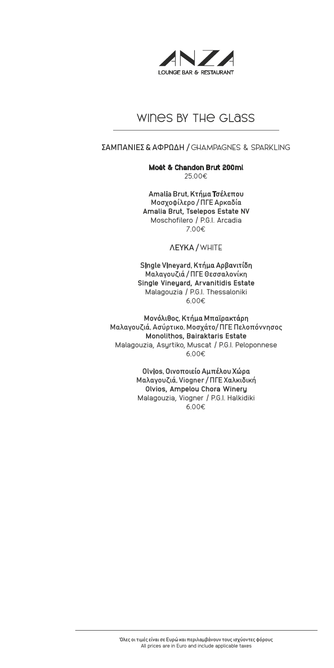

# wines BY THE GI ASS

## ΣΑΜΠΑΝΙΕΣ & ΑΦΡΩΔΗ / CHAMPAGNES & SPARKLING

**Moët & Chandon Brut 200ml** 25,00€

## Amalia Brut, Κτήμα Τσέλεπου

Mοσχοφίλερο / ΠΓΕ Αρκαδία **Amalia Brut, Tselepos Estate NV**  Moschofilero / P.G.I. Arcadia 7,00€

## ΛΕΥΚΑ / WHITE

#### Single Vineyard, Κτήμα Αρβανιτίδη

Μαλαγουζιά / ΠΓΕ Θεσσαλονίκη **Single Vineyard, Arvanitidis Estate**  Malagouzia / P.G.I. Thessaloniki 6,00€

#### Μονόλιθος, Κτήμα Μπαϊρακτάρη

Μαλαγουζιά, Ασύρτικο, Μοσχάτο/ ΠΓΕ Πελοπόννησος **Monolithos, Bairaktaris Estate** Malagouzia, Asyrtiko, Muscat / P.G.I. Peloponnese 6,00€

#### Olvios, Οινοποιείο Αμπέλου Χώρα

Μαλαγουζιά, Viogner / ΠΓΕ Χαλκιδική **Olvios, Ampelou Chora Winery** Malagouzia, Viogner / P.G.I. Halkidiki 6,00€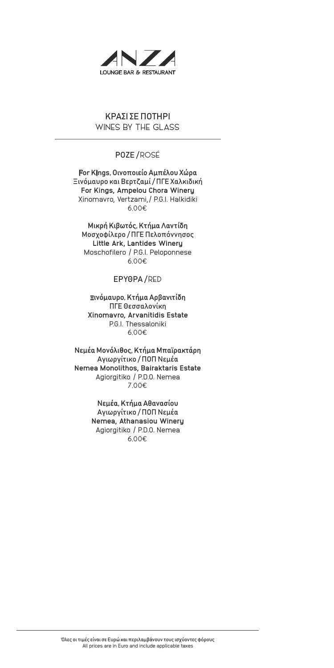

# ΚΡΑΣΙ ΣΕ ΠΟΤΗΡΙ WINES BY THE GLASS

# ΡΟΖΕ / ROSÉ

For Kings, Οινοποιείο Αμπέλου Χώρα Ξινόμαυρο και Βερτζαμί / ΠΓΕ Χαλκιδική **For Kings, Ampelou Chora Winery**  Xinomavro, Vertzami,/ P.G.I. Halkidiki 6,00€

## Μικρή Κιβωτός, Κτήμα Λαντίδη

Μοσχοφίλερο / ΠΓΕ Πελοπόννησος **Little Ark, Lantides Winery**  Moschofilero / P.G.I. Peloponnese 6,00€

## ΕΡΥΘΡΑ / RED

## Ξινόμαυρο, Κτήμα Αρβανιτίδη

ΠΓΕ Θεσσαλονίκη **Xinomavro, Arvanitidis Estate** PG.I. Thessaloniki 6,00€

#### Νεμέα Μονόλιθος, Κτήμα Μπαϊρακτάρη

Αγιωργίτικο / ΠΟΠ Νεμέα **Nemea Monolithos, Bairaktaris Estate**  Agiorgitiko / P.D.O. Nemea 7,00€

## Νεμέα, Κτήμα Αθανασίου

Αγιωργίτικο / ΠΟΠ Νεμέα **Nemea, Athanasiou Winery** Agiorgitiko / P.D.O. Nemea 6,00€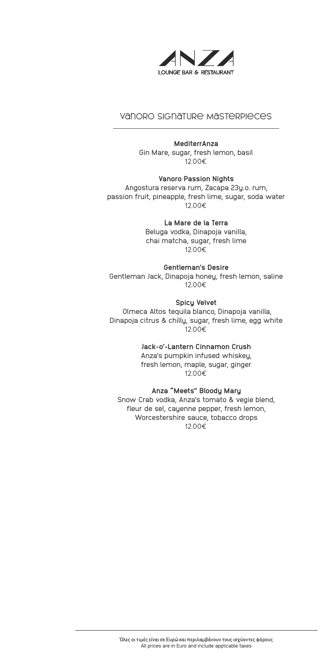

# Vanoro Signature Masterpieces

#### **MediterrAnza**

Gin Mare, sugar, fresh lemon, basil 12,00€

**Vanoro Passion Nights** Angostura reserva rum, Zacapa 23y.o. rum, passion fruit, pineapple, fresh lime, sugar, soda water 12,00€

**La Mare de la Terra**

Beluga vodka, Dinapoja vanilla, chai matcha, sugar, fresh lime 12,00€

**Gentleman's Desire** Gentleman Jack, Dinapoja honey, fresh lemon, saline 12,00€

#### **Spicy Velvet**

 Olmeca Altos tequila blanco, Dinapoja vanilla, Dinapoja citrus & chilly, sugar, fresh lime, egg white 12,00€

**Jack-o'-Lantern Cinnamon Crush**

Anza's pumpkin infused whiskey, fresh lemon, maple, sugar, ginger 12,00€

**Anza "Meets" Bloody Mary** Snow Crab vodka, Anza's tomato & vegie blend, fleur de sel, cayenne pepper, fresh lemon, Worcestershire sauce, tobacco drops 12,00€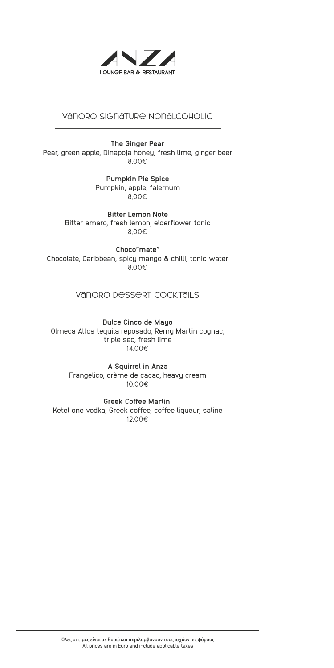

# Vanoro Signature Nonalcoholic

**The Ginger Pear** Pear, green apple, Dinapoja honey, fresh lime, ginger beer 8,00€

> **Pumpkin Pie Spice** Pumpkin, apple, falernum 8,00€

**Bitter Lemon Note** Bitter amaro, fresh lemon, elderflower tonic 8,00€

**Choco"mate"** Chocolate, Caribbean, spicy mango & chilli, tonic water 8,00€

## Vanoro Dessert Cocktails

**Dulce Cinco de Mayo** Olmeca Altos tequila reposado, Remy Martin cognac, triple sec, fresh lime 14,00€

> **A Squirrel in Anza** Frangelico, crème de cacao, heavy cream 10,00€

**Greek Coffee Martini** Ketel one vodka, Greek coffee, coffee liqueur, saline 12,00€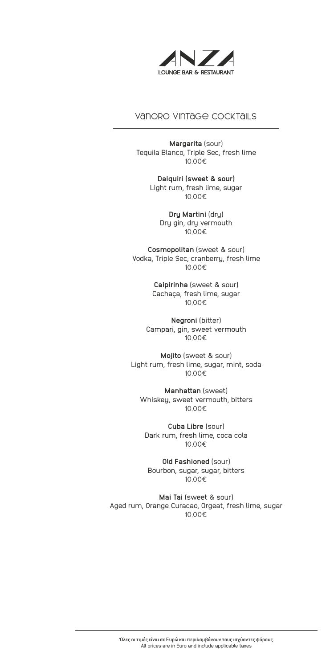

# Vanoro Vintage Cocktails

**Margarita** (sour) Tequila Blanco, Triple Sec, fresh lime 10,00€

> **Daiquiri (sweet & sour)** Light rum, fresh lime, sugar 10,00€

> > **Dry Martini** (dry) Dry gin, dry vermouth 10,00€

**Cosmopolitan** (sweet & sour) Vodka, Triple Sec, cranberry, fresh lime 10,00€

> **Caipirinha** (sweet & sour) Cachaça, fresh lime, sugar 10,00€

**Negroni** (bitter) Campari, gin, sweet vermouth 10,00€

**Mojito** (sweet & sour) Light rum, fresh lime, sugar, mint, soda 10,00€

**Manhattan** (sweet) Whiskey, sweet vermouth, bitters 10,00€

**Cuba Libre** (sour) Dark rum, fresh lime, coca cola 10,00€

**Old Fashioned** (sour) Bourbon, sugar, sugar, bitters 10,00€

**Mai Tai** (sweet & sour) Aged rum, Orange Curacao, Orgeat, fresh lime, sugar 10,00€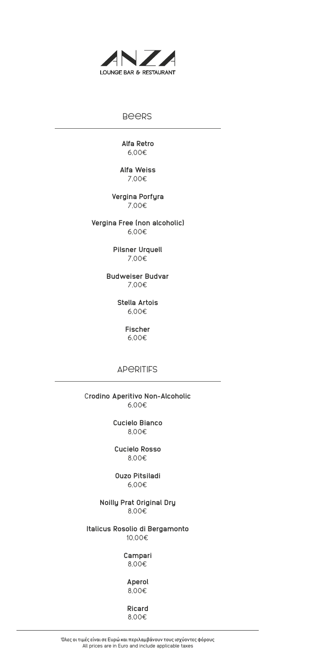

## Beers

**Alfa Retro** 6,00€

**Alfa Weiss** 7,00€

**Vergina Porfyra** 7,00€

**Vergina Free (non alcoholic)** 6,00€

> **Pilsner Urquell** 7,00€

**Budweiser Budvar** 7,00€

> **Stella Artois** 6,00€

> > **Fischer** 6,00€

**APERITIFS** 

C**rodino Aperitivo Non-Alcoholic** 6,00€

> **Cucielo Bianco** 8,00€

**Cucielo Rosso** 8,00€

**Ouzo Pitsiladi** 6,00€

**Noilly Prat Original Dry** 8,00€

**Italicus Rosolio di Bergamonto** 10,00€

> **Campari** 8,00€

> > **Aperol** 8,00€

**Ricard**

8,00€

Όλες οι τιμές είναι σε Ευρώ και περιλαμβάνουν τους ισχύοντες φόρους All prices are in Euro and include applicable taxes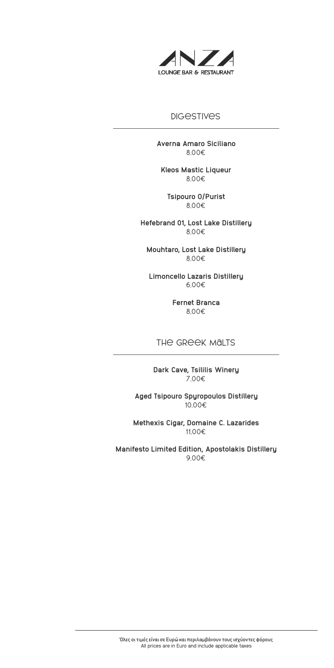

# **DIGESTIVES**

**Averna Amaro Siciliano** 8,00€

**Kleos Mastic Liqueur** 8,00€

**Tsipouro O/Purist** 8,00€

**Hefebrand 01, Lost Lake Distillery** 8,00€

**Mouhtaro, Lost Lake Distillery** 8,00€

**Limoncello Lazaris Distillery** 6,00€

> **Fernet Branca** 8,00€

#### THE GREEK MALTS

**Dark Cave, Tsililis Winery** 7,00€

**Aged Tsipouro Spyropoulos Distillery** 10,00€

**Methexis Cigar, Domaine C. Lazarides** 11,00€

**Manifesto Limited Edition, Apostolakis Distillery** 9,00€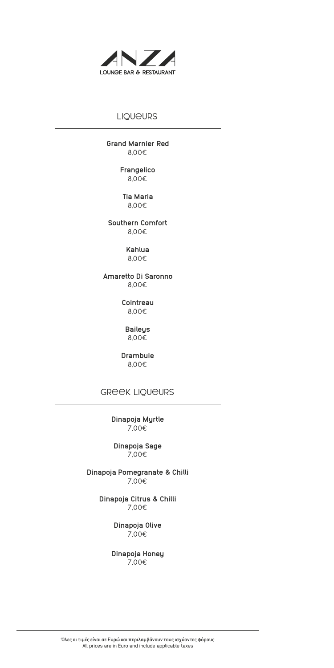

# **LIQUEURS**

**Grand Marnier Red** 8,00€

> **Frangelico** 8,00€

**Tia Maria** 8,00€

**Southern Comfort** 8,00€

> **Kahlua** 8,00€

**Amaretto Di Saronno** 8,00€

> **Cointreau**  8,00€

**Baileys**  8,00€

**Drambuie** 8,00€

Greek Liqueurs

**Dinapoja Myrtle** 7,00€

**Dinapoja Sage** 7,00€

**Dinapoja Pomegranate & Chilli** 7,00€

> **Dinapoja Citrus & Chilli** 7,00€

> > **Dinapoja Olive** 7,00€

**Dinapoja Honey** 7,00€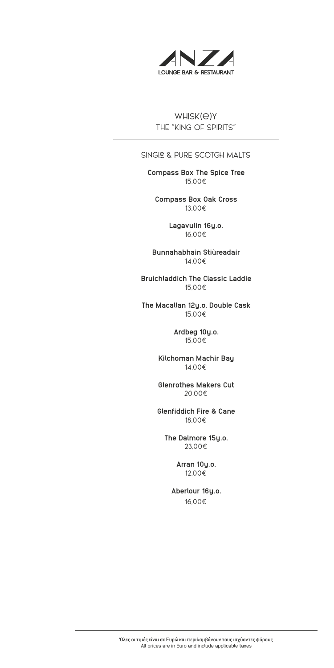

Whisk(e)y THE "KING OF SPIRITS"

### SINGLE & PURE SCOTGH MALTS

**Compass Box The Spice Tree** 15,00€

**Compass Box Oak Cross** 13,00€

> **Lagavulin 16y.o.** 16,00€

**Bunnahabhain Stiùreadair** 14,00€

**Bruichladdich The Classic Laddie** 15,00€

**The Macallan 12y.o. Double Cask** 15,00€

> **Ardbeg 10y.o.** 15,00€

**Kilchoman Machir Bay** 14,00€

**Glenrothes Makers Cut** 20,00€

**Glenfiddich Fire & Cane** 18,00€

**The Dalmore 15y.o.** 23,00€

> **Arran 10y.o.** 12,00€

**Aberlour 16y.o.** 16,00€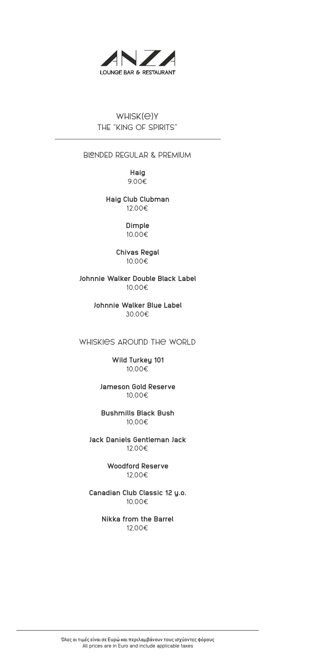

Whisk(e)y THE "KING OF SPIRITS"

## BLENDED REGULAR & PREMIUM

**Haig** 9,00€

**Haig Club Clubman** 12,00€

> **Dimple** 10,00€

#### **Chivas Regal** 10,00€

**Johnnie Walker Double Black Label** 10,00€

> **Johnnie Walker Blue Label** 30,00€

Whiskies Around the World

**Wild Turkey 101**  10,00€

**Jameson Gold Reserve**  10,00€

**Bushmills Black Bush** 10,00€

**Jack Daniels Gentleman Jack**  12,00€

> **Woodford Reserve** 12,00€

**Canadian Club Classic 12 y.o.**  10,00€

> **Nikka from the Barrel** 12,00€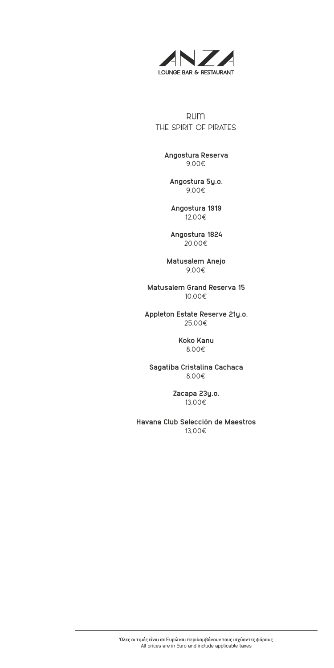

rum THE SPIRIT OF PIRATES

> **Angostura Reserva** 9,00€

**Angostura 5y.o.** 9,00€

**Angostura 1919** 12,00€

**Angostura 1824** 20,00€

**Matusalem Anejo** 9,00€

**Matusalem Grand Reserva 15**  10,00€

**Appleton Estate Reserve 21y.o.** 25,00€

> **Koko Kanu** 8,00€

**Sagatiba Cristalina Cachaca** 8,00€

> **Zacapa 23y.o.** 13,00€

**Havana Club Selección de Maestros** 13,00€

Όλες οι τιμές είναι σε Ευρώ και περιλαμβάνουν τους ισχύοντες φόρους All prices are in Euro and include applicable taxes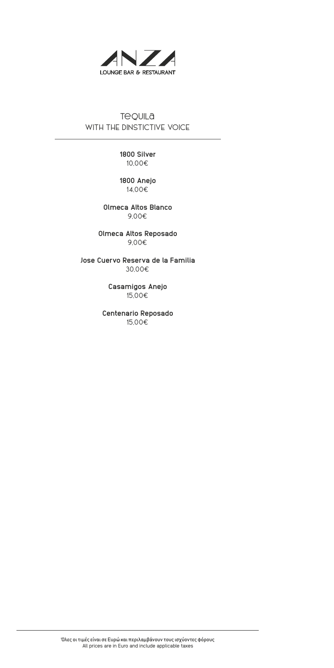

# **Tequila** WITH THE DINSTICTIVE VOICE

**1800 Silver** 10,00€

**1800 Anejo** 14,00€

**Olmeca Altos Blanco** 9,00€

**Olmeca Altos Reposado** 9,00€

**Jose Cuervo Reserva de la Familia** 30,00€

> **Casamigos Anejo** 15,00€

**Centenario Reposado** 15,00€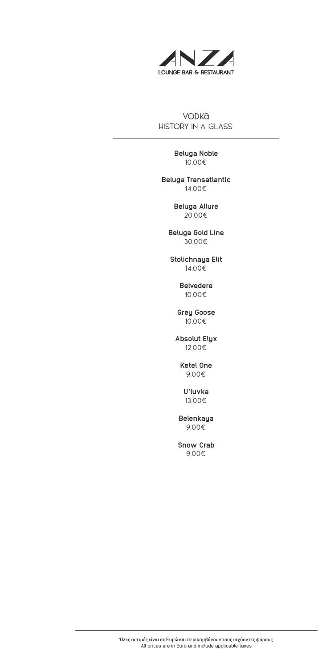

**VODKa** HISTORY IN A GLASS

> **Beluga Noble** 10,00€

**Beluga Transatlantic** 14,00€

> **Beluga Allure** 20,00€

**Beluga Gold Line** 30,00€

**Stolichnaya Elit** 14,00€

> **Belvedere** 10,00€

**Grey Goose** 10,00€

**Absolut Elyx** 12,00€

> **Ketel One** 9,00€

**U'luvka** 13,00€

**Belenkaya** 9,00€

**Snow Crab** 9,00€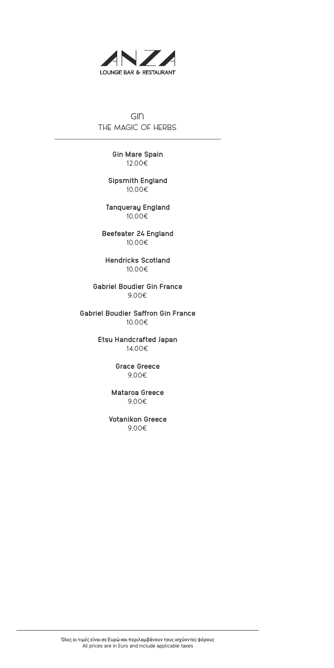

Gin THE MAGIC OF HERBS

> **Gin Mare Spain** 12,00€

**Sipsmith England** 10,00€

**Tanqueray England** 10,00€

**Beefeater 24 England** 10,00€

**Hendricks Scotland** 10,00€

**Gabriel Boudier Gin France** 9,00€

**Gabriel Boudier Saffron Gin France** 10,00€

> **Etsu Handcrafted Japan** 14,00€

> > **Grace Greece** 9,00€

**Mataroa Greece** 9,00€

**Votanikon Greece** 9,00€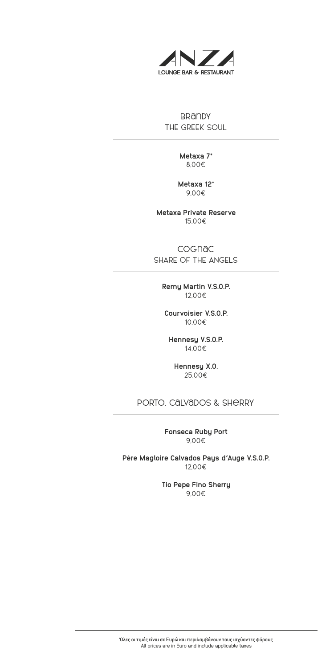

**BRANDY** THE GREEK SOUL

> **Metaxa 7\*** 8,00€

**Metaxa 12\*** 9,00€

**Metaxa Private Reserve** 15,00€

Cognac SHARE OF THE ANGELS

**Remy Martin V.S.O.P.** 12,00€

**Courvoisier V.S.O.P.** 10,00€

**Hennesy V.S.O.P.** 14,00€

**Hennesy X.O.** 25,00€

Porto, Calvados & Sherry

**Fonseca Ruby Port** 9,00€

**Père Magloire Calvados Pays d'Auge V.S.O.P.**  12,00€

> **Tio Pepe Fino Sherry** 9,00€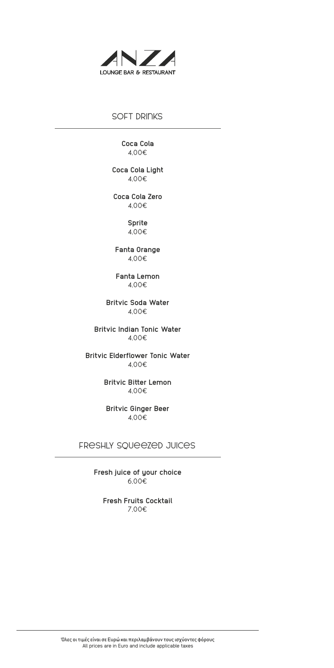

## SOFT DRINKS

**Coca Cola** 4,00€

**Coca Cola Light** 4,00€

**Coca Cola Zero** 4,00€

> **Sprite** 4,00€

**Fanta Orange** 4,00€

**Fanta Lemon** 4,00€

**Britvic Soda Water** 4,00€

**Britvic Indian Tonic Water** 4,00€

**Britvic Elderflower Tonic Water** 4,00€

> **Britvic Bitter Lemon** 4,00€

**Britvic Ginger Beer** 4,00€

Freshly Squeezed Juices

**Fresh juice of your choice** 6,00€

**Fresh Fruits Cocktail** 7,00€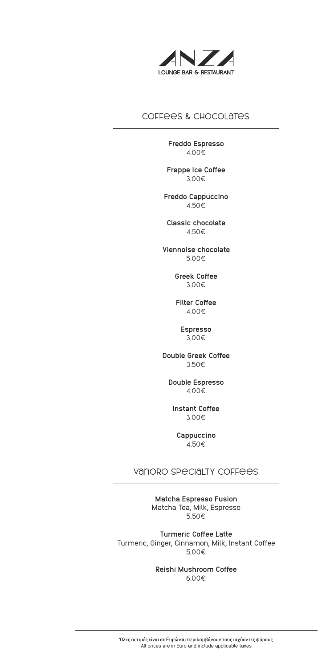

# Coffees & Chocolates

**Freddo Espresso**  4,00€

**Frappe Ice Coffee**  3,00€

**Freddo Cappuccino**  4,50€

**Classic chocolate**  4,50€

**Viennoise chocolate**  5,00€

> **Greek Coffee** 3,00€

**Filter Coffee**  4,00€

> **Espresso** 3,00€

**Double Greek Coffee**  3,50€

**Double Espresso**  4,00€

**Instant Coffee**  3,00€

**Cappuccino** 4,50€

# Vanoro Specialty Coffees

**Matcha Espresso Fusion** Matcha Tea, Milk, Espresso 5,50€

**Turmeric Coffee Latte** Turmeric, Ginger, Cinnamon, Milk, Instant Coffee 5,00€

> **Reishi Mushroom Coffee** 6,00€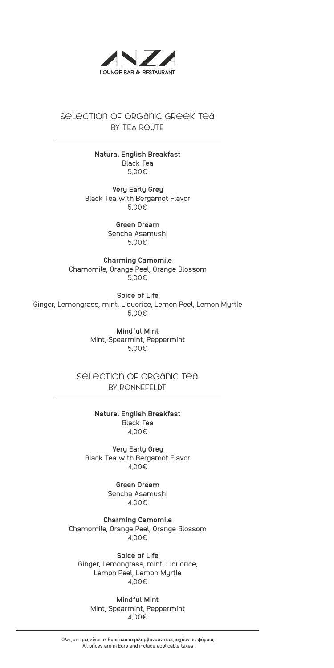

# Selection of organic Greek Tea BY TEA ROUTE

**Natural English Breakfast** Black Tea 5,00€

**Very Early Grey** Black Tea with Bergamot Flavor 5,00€

> **Green Dream**  Sencha Asamushi 5,00€

**Charming Camomile** Chamomile, Orange Peel, Orange Blossom 5,00€

**Spice of Life** Ginger, Lemongrass, mint, Liquorice, Lemon Peel, Lemon Myrtle 5,00€

> **Mindful Mint** Mint, Spearmint, Peppermint 5,00€

selection of organic tea BY RONNEFELDT

> **Natural English Breakfast** Black Tea 4,00€

**Very Early Grey** Black Tea with Bergamot Flavor 4,00€

> **Green Dream** Sencha Asamushi 4,00€

**Charming Camomile** Chamomile, Orange Peel, Orange Blossom 4,00€

**Spice of Life** Ginger, Lemongrass, mint, Liquorice, Lemon Peel, Lemon Myrtle 4,00€

**Mindful Mint** Mint, Spearmint, Peppermint 4,00€

Όλες οι τιμές είναι σε Ευρώ και περιλαμβάνουν τους ισχύοντες φόρους All prices are in Euro and include applicable taxes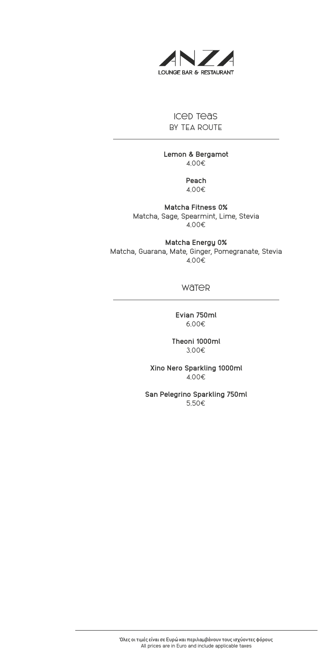

# Iced Teas BY TEA ROUTE

**Lemon & Bergamot** 4,00€

> **Peach** 4,00€

**Matcha Fitness 0%** Matcha, Sage, Spearmint, Lime, Stevia 4,00€

**Matcha Energy 0%** Matcha, Guarana, Mate, Ginger, Pomegranate, Stevia 4,00€

#### **WaTeR**

**Evian 750ml**  6,00€

**Theoni 1000ml** 3,00€

**Xino Nero Sparkling 1000ml**  4,00€

**San Pelegrino Sparkling 750ml** 5,50€